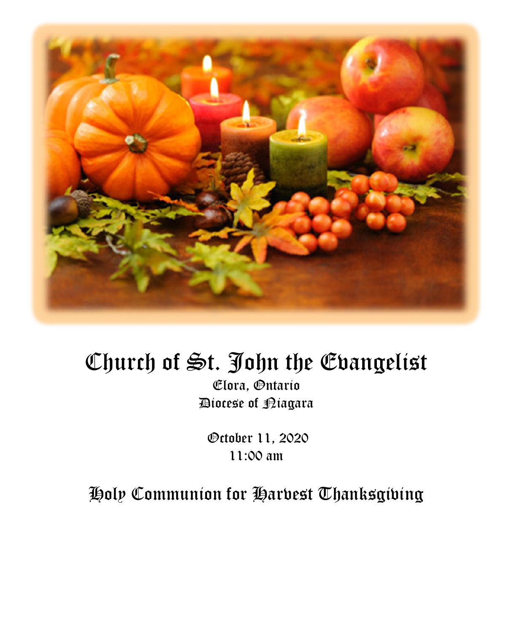

# Church of St. John the Evangelist

Elora, Ontario Diocese of Niagara

October 11, 2020 11:00 am

Holy Communion for Harvest Thanksgiving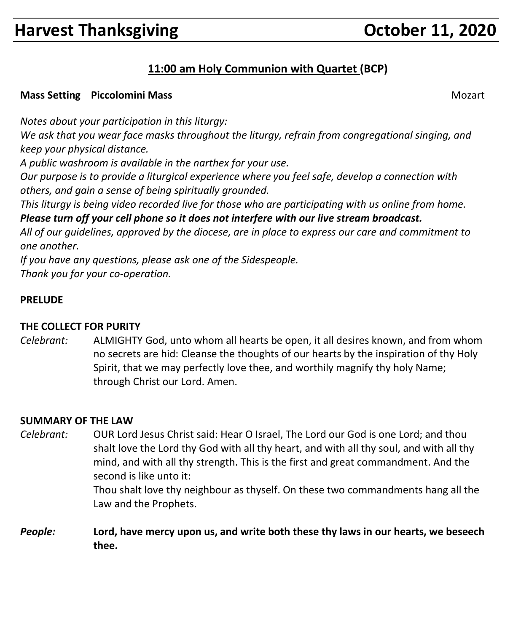# **Harvest Thanksgiving Community Community Community Property Property Property Community Property Property Property**

### **11:00 am Holy Communion with Quartet (BCP)**

#### **Mass Setting Piccolomini Mass** Mozart Number of American Setting Mozart Mozart Mozart Number of American Setting Mozart Number of American Setting American Setting of American Setting American Setting of American Setting

*Notes about your participation in this liturgy:*

*We ask that you wear face masks throughout the liturgy, refrain from congregational singing, and keep your physical distance.*

*A public washroom is available in the narthex for your use.*

*Our purpose is to provide a liturgical experience where you feel safe, develop a connection with others, and gain a sense of being spiritually grounded.*

*This liturgy is being video recorded live for those who are participating with us online from home. Please turn off your cell phone so it does not interfere with our live stream broadcast.*

*All of our guidelines, approved by the diocese, are in place to express our care and commitment to one another.* 

*If you have any questions, please ask one of the Sidespeople. Thank you for your co-operation.*

#### **PRELUDE**

#### **THE COLLECT FOR PURITY**

*Celebrant:* ALMIGHTY God, unto whom all hearts be open, it all desires known, and from whom no secrets are hid: Cleanse the thoughts of our hearts by the inspiration of thy Holy Spirit, that we may perfectly love thee, and worthily magnify thy holy Name; through Christ our Lord. Amen.

#### **SUMMARY OF THE LAW**

*Celebrant:* OUR Lord Jesus Christ said: Hear O Israel, The Lord our God is one Lord; and thou shalt love the Lord thy God with all thy heart, and with all thy soul, and with all thy mind, and with all thy strength. This is the first and great commandment. And the second is like unto it: Thou shalt love thy neighbour as thyself. On these two commandments hang all the

Law and the Prophets.

*People:* **Lord, have mercy upon us, and write both these thy laws in our hearts, we beseech thee.**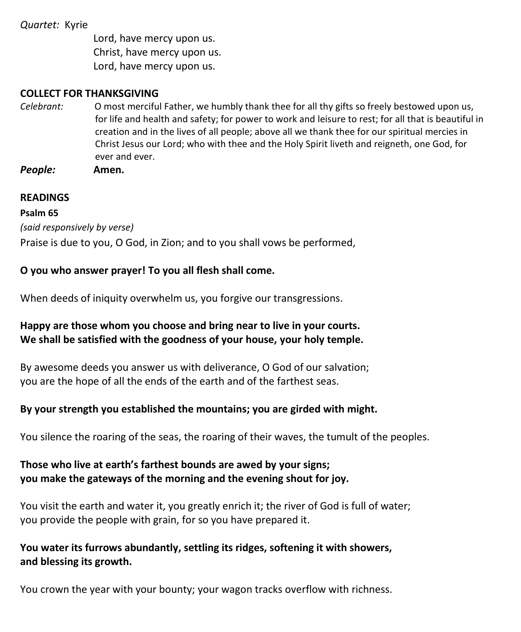#### *Quartet:* Kyrie

Lord, have mercy upon us. Christ, have mercy upon us. Lord, have mercy upon us.

#### **COLLECT FOR THANKSGIVING**

*Celebrant:* O most merciful Father, we humbly thank thee for all thy gifts so freely bestowed upon us, for life and health and safety; for power to work and leisure to rest; for all that is beautiful in creation and in the lives of all people; above all we thank thee for our spiritual mercies in Christ Jesus our Lord; who with thee and the Holy Spirit liveth and reigneth, one God, for ever and ever.

*People:* **Amen.**

#### **READINGS**

#### **Psalm 65**

*(said responsively by verse)*

Praise is due to you, O God, in Zion; and to you shall vows be performed,

#### **O you who answer prayer! To you all flesh shall come.**

When deeds of iniquity overwhelm us, you forgive our transgressions.

#### **Happy are those whom you choose and bring near to live in your courts. We shall be satisfied with the goodness of your house, your holy temple.**

By awesome deeds you answer us with deliverance, O God of our salvation; you are the hope of all the ends of the earth and of the farthest seas.

#### **By your strength you established the mountains; you are girded with might.**

You silence the roaring of the seas, the roaring of their waves, the tumult of the peoples.

#### **Those who live at earth's farthest bounds are awed by your signs; you make the gateways of the morning and the evening shout for joy.**

You visit the earth and water it, you greatly enrich it; the river of God is full of water; you provide the people with grain, for so you have prepared it.

#### **You water its furrows abundantly, settling its ridges, softening it with showers, and blessing its growth.**

You crown the year with your bounty; your wagon tracks overflow with richness.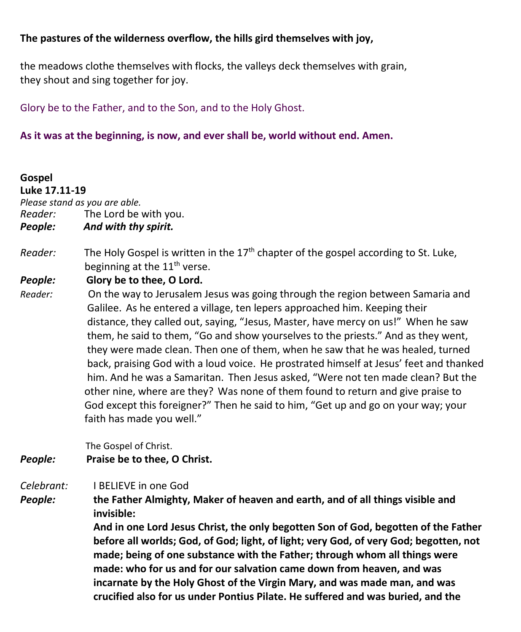#### **The pastures of the wilderness overflow, the hills gird themselves with joy,**

the meadows clothe themselves with flocks, the valleys deck themselves with grain, they shout and sing together for joy.

Glory be to the Father, and to the Son, and to the Holy Ghost.

#### **As it was at the beginning, is now, and ever shall be, world without end. Amen.**

#### **Gospel Luke 17.11-19**

*Please stand as you are able.*

*Reader:*The Lord be with you.

- *People: And with thy spirit.*
- *Reader:* The Holy Gospel is written in the 17<sup>th</sup> chapter of the gospel according to St. Luke, beginning at the 11<sup>th</sup> verse.

#### *People:* **Glory be to thee, O Lord.**

*Reader:* On the way to Jerusalem Jesus was going through the region between Samaria and Galilee. As he entered a village, ten lepers approached him. Keeping their distance, they called out, saying, "Jesus, Master, have mercy on us!" When he saw them, he said to them, "Go and show yourselves to the priests." And as they went, they were made clean. Then one of them, when he saw that he was healed, turned back, praising God with a loud voice. He prostrated himself at Jesus' feet and thanked him. And he was a Samaritan. Then Jesus asked, "Were not ten made clean? But the other nine, where are they? Was none of them found to return and give praise to God except this foreigner?" Then he said to him, "Get up and go on your way; your faith has made you well."

The Gospel of Christ.

#### *People:* **Praise be to thee, O Christ.**

#### *Celebrant:* I BELIEVE in one God

*People:* **the Father Almighty, Maker of heaven and earth, and of all things visible and invisible:**

> **And in one Lord Jesus Christ, the only begotten Son of God, begotten of the Father before all worlds; God, of God; light, of light; very God, of very God; begotten, not made; being of one substance with the Father; through whom all things were made: who for us and for our salvation came down from heaven, and was incarnate by the Holy Ghost of the Virgin Mary, and was made man, and was crucified also for us under Pontius Pilate. He suffered and was buried, and the**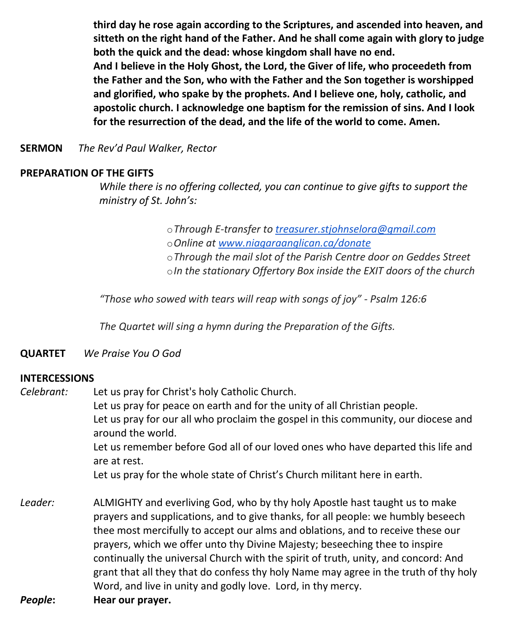**third day he rose again according to the Scriptures, and ascended into heaven, and sitteth on the right hand of the Father. And he shall come again with glory to judge both the quick and the dead: whose kingdom shall have no end. And I believe in the Holy Ghost, the Lord, the Giver of life, who proceedeth from the Father and the Son, who with the Father and the Son together is worshipped and glorified, who spake by the prophets. And I believe one, holy, catholic, and apostolic church. I acknowledge one baptism for the remission of sins. And I look for the resurrection of the dead, and the life of the world to come. Amen.**

**SERMON** *The Rev'd Paul Walker, Rector*

#### **PREPARATION OF THE GIFTS**

*While there is no offering collected, you can continue to give gifts to support the ministry of St. John's:*

> o*Through E-transfer to [treasurer.stjohnselora@gmail.com](mailto:treasurer.stjohnselora@gmail.com)* o*Online at [www.niagaraanglican.ca/donate](http://www.niagaraanglican.ca/donate)* o*Through the mail slot of the Parish Centre door on Geddes Street* o*In the stationary Offertory Box inside the EXIT doors of the church*

*"Those who sowed with tears will reap with songs of joy" - Psalm 126:6*

*The Quartet will sing a hymn during the Preparation of the Gifts.*

#### **QUARTET** *We Praise You O God*

#### **INTERCESSIONS**

*Celebrant:* Let us pray for Christ's holy Catholic Church. Let us pray for peace on earth and for the unity of all Christian people. Let us pray for our all who proclaim the gospel in this community, our diocese and around the world. Let us remember before God all of our loved ones who have departed this life and are at rest. Let us pray for the whole state of Christ's Church militant here in earth.

*Leader:* ALMIGHTY and everliving God, who by thy holy Apostle hast taught us to make prayers and supplications, and to give thanks, for all people: we humbly beseech thee most mercifully to accept our alms and oblations, and to receive these our prayers, which we offer unto thy Divine Majesty; beseeching thee to inspire continually the universal Church with the spirit of truth, unity, and concord: And grant that all they that do confess thy holy Name may agree in the truth of thy holy Word, and live in unity and godly love. Lord, in thy mercy.

*People***: Hear our prayer.**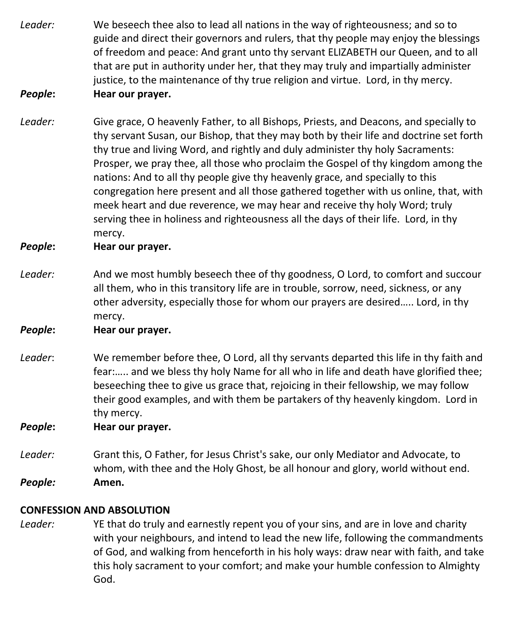- *Leader:* We beseech thee also to lead all nations in the way of righteousness; and so to guide and direct their governors and rulers, that thy people may enjoy the blessings of freedom and peace: And grant unto thy servant ELIZABETH our Queen, and to all that are put in authority under her, that they may truly and impartially administer justice, to the maintenance of thy true religion and virtue. Lord, in thy mercy.
- *People***: Hear our prayer.**
- *Leader:* Give grace, O heavenly Father, to all Bishops, Priests, and Deacons, and specially to thy servant Susan, our Bishop, that they may both by their life and doctrine set forth thy true and living Word, and rightly and duly administer thy holy Sacraments: Prosper, we pray thee, all those who proclaim the Gospel of thy kingdom among the nations: And to all thy people give thy heavenly grace, and specially to this congregation here present and all those gathered together with us online, that, with meek heart and due reverence, we may hear and receive thy holy Word; truly serving thee in holiness and righteousness all the days of their life. Lord, in thy mercy.

#### *People***: Hear our prayer.**

*Leader:* And we most humbly beseech thee of thy goodness, O Lord, to comfort and succour all them, who in this transitory life are in trouble, sorrow, need, sickness, or any other adversity, especially those for whom our prayers are desired….. Lord, in thy mercy.

#### *People***: Hear our prayer.**

*Leader*: We remember before thee, O Lord, all thy servants departed this life in thy faith and fear:….. and we bless thy holy Name for all who in life and death have glorified thee; beseeching thee to give us grace that, rejoicing in their fellowship, we may follow their good examples, and with them be partakers of thy heavenly kingdom. Lord in thy mercy.

*People***: Hear our prayer.**

*Leader:* Grant this, O Father, for Jesus Christ's sake, our only Mediator and Advocate, to whom, with thee and the Holy Ghost, be all honour and glory, world without end. *People:* **Amen.**

#### **CONFESSION AND ABSOLUTION**

*Leader:* YE that do truly and earnestly repent you of your sins, and are in love and charity with your neighbours, and intend to lead the new life, following the commandments of God, and walking from henceforth in his holy ways: draw near with faith, and take this holy sacrament to your comfort; and make your humble confession to Almighty God.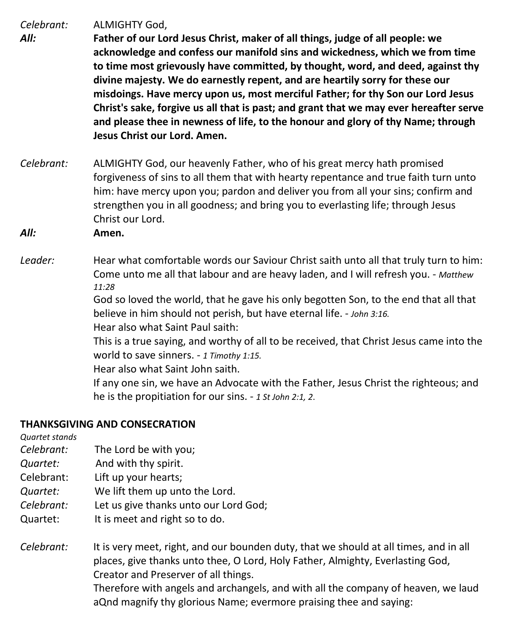*Celebrant:* ALMIGHTY God,

- *All:* **Father of our Lord Jesus Christ, maker of all things, judge of all people: we acknowledge and confess our manifold sins and wickedness, which we from time to time most grievously have committed, by thought, word, and deed, against thy divine majesty. We do earnestly repent, and are heartily sorry for these our misdoings. Have mercy upon us, most merciful Father; for thy Son our Lord Jesus Christ's sake, forgive us all that is past; and grant that we may ever hereafter serve and please thee in newness of life, to the honour and glory of thy Name; through Jesus Christ our Lord. Amen.**
- *Celebrant:* ALMIGHTY God, our heavenly Father, who of his great mercy hath promised forgiveness of sins to all them that with hearty repentance and true faith turn unto him: have mercy upon you; pardon and deliver you from all your sins; confirm and strengthen you in all goodness; and bring you to everlasting life; through Jesus Christ our Lord.
- *All:* **Amen.**
- *Leader:* Hear what comfortable words our Saviour Christ saith unto all that truly turn to him: Come unto me all that labour and are heavy laden, and I will refresh you. - *Matthew 11:28*

God so loved the world, that he gave his only begotten Son, to the end that all that believe in him should not perish, but have eternal life. - *John 3:16.*

Hear also what Saint Paul saith:

This is a true saying, and worthy of all to be received, that Christ Jesus came into the world to save sinners. - *1 Timothy 1:15.*

Hear also what Saint John saith.

If any one sin, we have an Advocate with the Father, Jesus Christ the righteous; and he is the propitiation for our sins. - *1 St John 2:1, 2*.

#### **THANKSGIVING AND CONSECRATION**

*Quartet stands*

- *Celebrant:* The Lord be with you;
- *Quartet:* And with thy spirit.
- Celebrant: Lift up your hearts;
- *Quartet:* We lift them up unto the Lord.

*Celebrant:* Let us give thanks unto our Lord God;

- Quartet: It is meet and right so to do.
- *Celebrant:* It is very meet, right, and our bounden duty, that we should at all times, and in all places, give thanks unto thee, O Lord, Holy Father, Almighty, Everlasting God, Creator and Preserver of all things. Therefore with angels and archangels, and with all the company of heaven, we laud

aQnd magnify thy glorious Name; evermore praising thee and saying: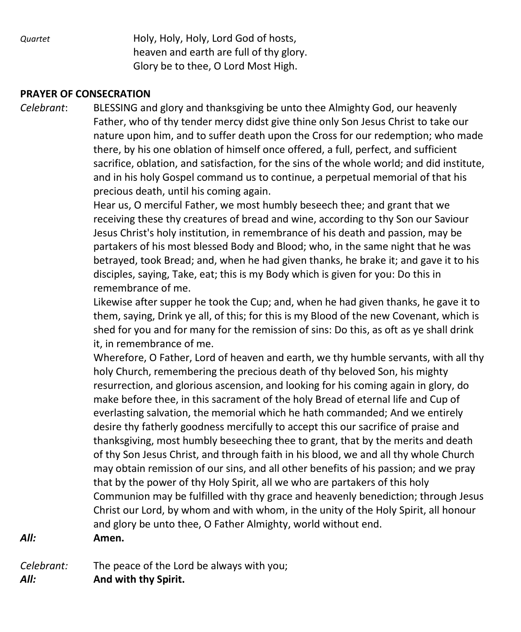*Quartet* **Holy, Holy, Holy, Lord God of hosts,**  heaven and earth are full of thy glory. Glory be to thee, O Lord Most High.

#### **PRAYER OF CONSECRATION**

*Celebrant*: BLESSING and glory and thanksgiving be unto thee Almighty God, our heavenly Father, who of thy tender mercy didst give thine only Son Jesus Christ to take our nature upon him, and to suffer death upon the Cross for our redemption; who made there, by his one oblation of himself once offered, a full, perfect, and sufficient sacrifice, oblation, and satisfaction, for the sins of the whole world; and did institute, and in his holy Gospel command us to continue, a perpetual memorial of that his precious death, until his coming again.

> Hear us, O merciful Father, we most humbly beseech thee; and grant that we receiving these thy creatures of bread and wine, according to thy Son our Saviour Jesus Christ's holy institution, in remembrance of his death and passion, may be partakers of his most blessed Body and Blood; who, in the same night that he was betrayed, took Bread; and, when he had given thanks, he brake it; and gave it to his disciples, saying, Take, eat; this is my Body which is given for you: Do this in remembrance of me.

> Likewise after supper he took the Cup; and, when he had given thanks, he gave it to them, saying, Drink ye all, of this; for this is my Blood of the new Covenant, which is shed for you and for many for the remission of sins: Do this, as oft as ye shall drink it, in remembrance of me.

Wherefore, O Father, Lord of heaven and earth, we thy humble servants, with all thy holy Church, remembering the precious death of thy beloved Son, his mighty resurrection, and glorious ascension, and looking for his coming again in glory, do make before thee, in this sacrament of the holy Bread of eternal life and Cup of everlasting salvation, the memorial which he hath commanded; And we entirely desire thy fatherly goodness mercifully to accept this our sacrifice of praise and thanksgiving, most humbly beseeching thee to grant, that by the merits and death of thy Son Jesus Christ, and through faith in his blood, we and all thy whole Church may obtain remission of our sins, and all other benefits of his passion; and we pray that by the power of thy Holy Spirit, all we who are partakers of this holy Communion may be fulfilled with thy grace and heavenly benediction; through Jesus Christ our Lord, by whom and with whom, in the unity of the Holy Spirit, all honour and glory be unto thee, O Father Almighty, world without end.

*All:* **Amen.**

*Celebrant:* The peace of the Lord be always with you;

*All:* **And with thy Spirit.**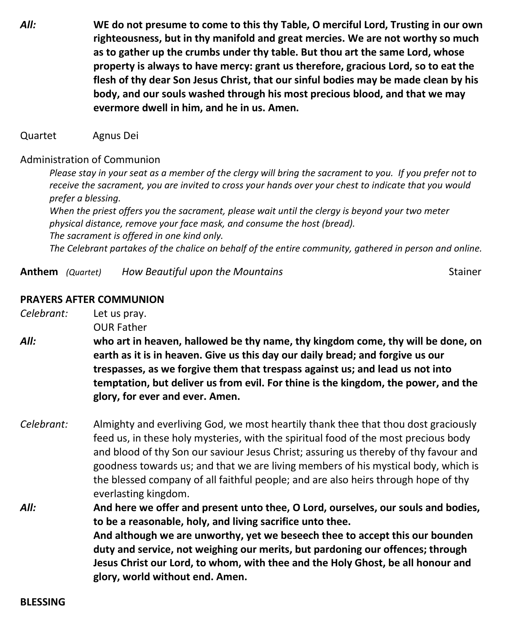*All:* **WE do not presume to come to this thy Table, O merciful Lord, Trusting in our own righteousness, but in thy manifold and great mercies. We are not worthy so much as to gather up the crumbs under thy table. But thou art the same Lord, whose property is always to have mercy: grant us therefore, gracious Lord, so to eat the flesh of thy dear Son Jesus Christ, that our sinful bodies may be made clean by his body, and our souls washed through his most precious blood, and that we may evermore dwell in him, and he in us. Amen.**

Quartet Agnus Dei

#### Administration of Communion

Please stay in your seat as a member of the clergy will bring the sacrament to you. If you prefer not to receive the sacrament, you are invited to cross your hands over your chest to indicate that you would *prefer a blessing. When the priest offers you the sacrament, please wait until the clergy is beyond your two meter physical distance, remove your face mask, and consume the host (bread). The sacrament is offered in one kind only. The Celebrant partakes of the chalice on behalf of the entire community, gathered in person and online.*

**Anthem** *(Quartet) How Beautiful upon the Mountains* Stainer

#### **PRAYERS AFTER COMMUNION**

*Celebrant:* Let us pray.

OUR Father

- *All:* **who art in heaven, hallowed be thy name, thy kingdom come, thy will be done, on earth as it is in heaven. Give us this day our daily bread; and forgive us our trespasses, as we forgive them that trespass against us; and lead us not into temptation, but deliver us from evil. For thine is the kingdom, the power, and the glory, for ever and ever. Amen.**
- *Celebrant:* Almighty and everliving God, we most heartily thank thee that thou dost graciously feed us, in these holy mysteries, with the spiritual food of the most precious body and blood of thy Son our saviour Jesus Christ; assuring us thereby of thy favour and goodness towards us; and that we are living members of his mystical body, which is the blessed company of all faithful people; and are also heirs through hope of thy everlasting kingdom.
- *All:* **And here we offer and present unto thee, O Lord, ourselves, our souls and bodies, to be a reasonable, holy, and living sacrifice unto thee. And although we are unworthy, yet we beseech thee to accept this our bounden duty and service, not weighing our merits, but pardoning our offences; through Jesus Christ our Lord, to whom, with thee and the Holy Ghost, be all honour and glory, world without end. Amen.**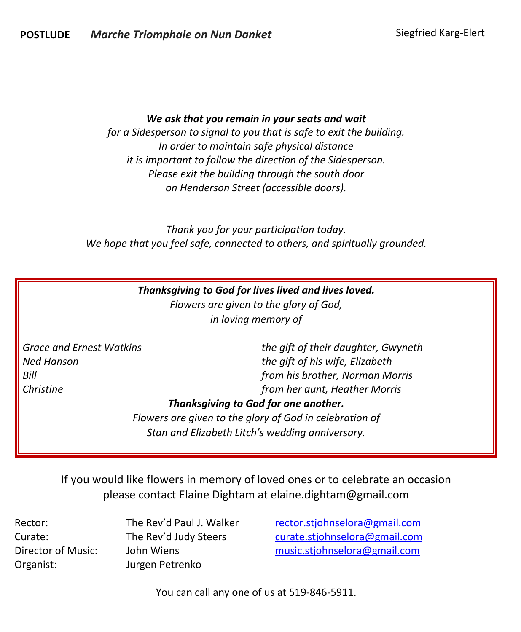#### *We ask that you remain in your seats and wait*

*for a Sidesperson to signal to you that is safe to exit the building. In order to maintain safe physical distance it is important to follow the direction of the Sidesperson. Please exit the building through the south door on Henderson Street (accessible doors).*

*Thank you for your participation today. We hope that you feel safe, connected to others, and spiritually grounded.*

|                          | Thanksgiving to God for lives lived and lives loved.    |
|--------------------------|---------------------------------------------------------|
|                          | Flowers are given to the glory of God,                  |
|                          | in loving memory of                                     |
| Grace and Ernest Watkins | the gift of their daughter, Gwyneth                     |
| Ned Hanson               | the gift of his wife, Elizabeth                         |
| Bill                     | from his brother, Norman Morris                         |
| Christine                | from her aunt, Heather Morris                           |
|                          | Thanksgiving to God for one another.                    |
|                          | Flowers are given to the glory of God in celebration of |
|                          |                                                         |

*Stan and Elizabeth Litch's wedding anniversary.*

If you would like flowers in memory of loved ones or to celebrate an occasion please contact Elaine Dightam at elaine.dightam@gmail.com

Organist: Jurgen Petrenko

Rector: The Rev'd Paul J. Walker [rector.stjohnselora@gmail.com](mailto:rector.stjohnselora@gmail.com) Curate: The Rev'd Judy Steers [curate.stjohnselora@gmail.com](mailto:curate.stjohnselora@gmail.com) Director of Music: John Wiens [music.stjohnselora@gmail.com](mailto:music.stjohnselora@gmail.com)

You can call any one of us at 519-846-5911.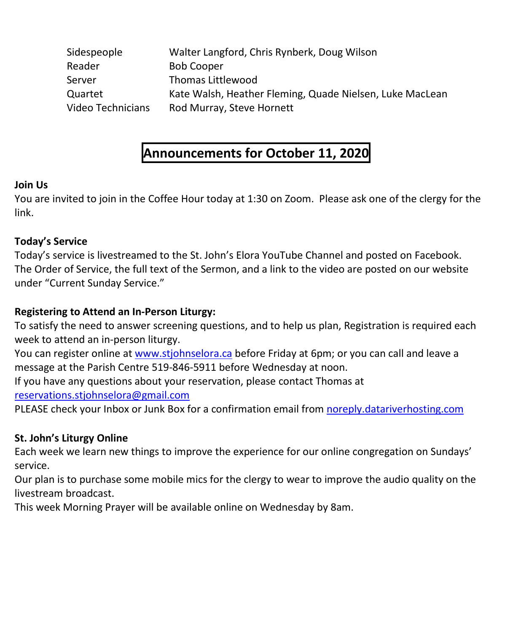| Sidespeople       | Walter Langford, Chris Rynberk, Doug Wilson              |
|-------------------|----------------------------------------------------------|
| Reader            | <b>Bob Cooper</b>                                        |
| Server            | Thomas Littlewood                                        |
| Quartet           | Kate Walsh, Heather Fleming, Quade Nielsen, Luke MacLean |
| Video Technicians | Rod Murray, Steve Hornett                                |

# **Announcements for October 11, 2020**

#### **Join Us**

You are invited to join in the Coffee Hour today at 1:30 on Zoom. Please ask one of the clergy for the link.

#### **Today's Service**

Today's service is livestreamed to the St. John's Elora YouTube Channel and posted on Facebook. The Order of Service, the full text of the Sermon, and a link to the video are posted on our website under "Current Sunday Service."

#### **Registering to Attend an In-Person Liturgy:**

To satisfy the need to answer screening questions, and to help us plan, Registration is required each week to attend an in-person liturgy.

You can register online at [www.stjohnselora.ca](http://www.stjohnselora.ca/) before Friday at 6pm; or you can call and leave a message at the Parish Centre 519-846-5911 before Wednesday at noon.

If you have any questions about your reservation, please contact Thomas at

[reservations.stjohnselora@gmail.com](mailto:reservations.stjohnselora@gmail.com)

PLEASE check your Inbox or Junk Box for a confirmation email from [noreply.datariverhosting.com](http://noreply.datariverhosting.com/)

#### **St. John's Liturgy Online**

Each week we learn new things to improve the experience for our online congregation on Sundays' service.

Our plan is to purchase some mobile mics for the clergy to wear to improve the audio quality on the livestream broadcast.

This week Morning Prayer will be available online on Wednesday by 8am.